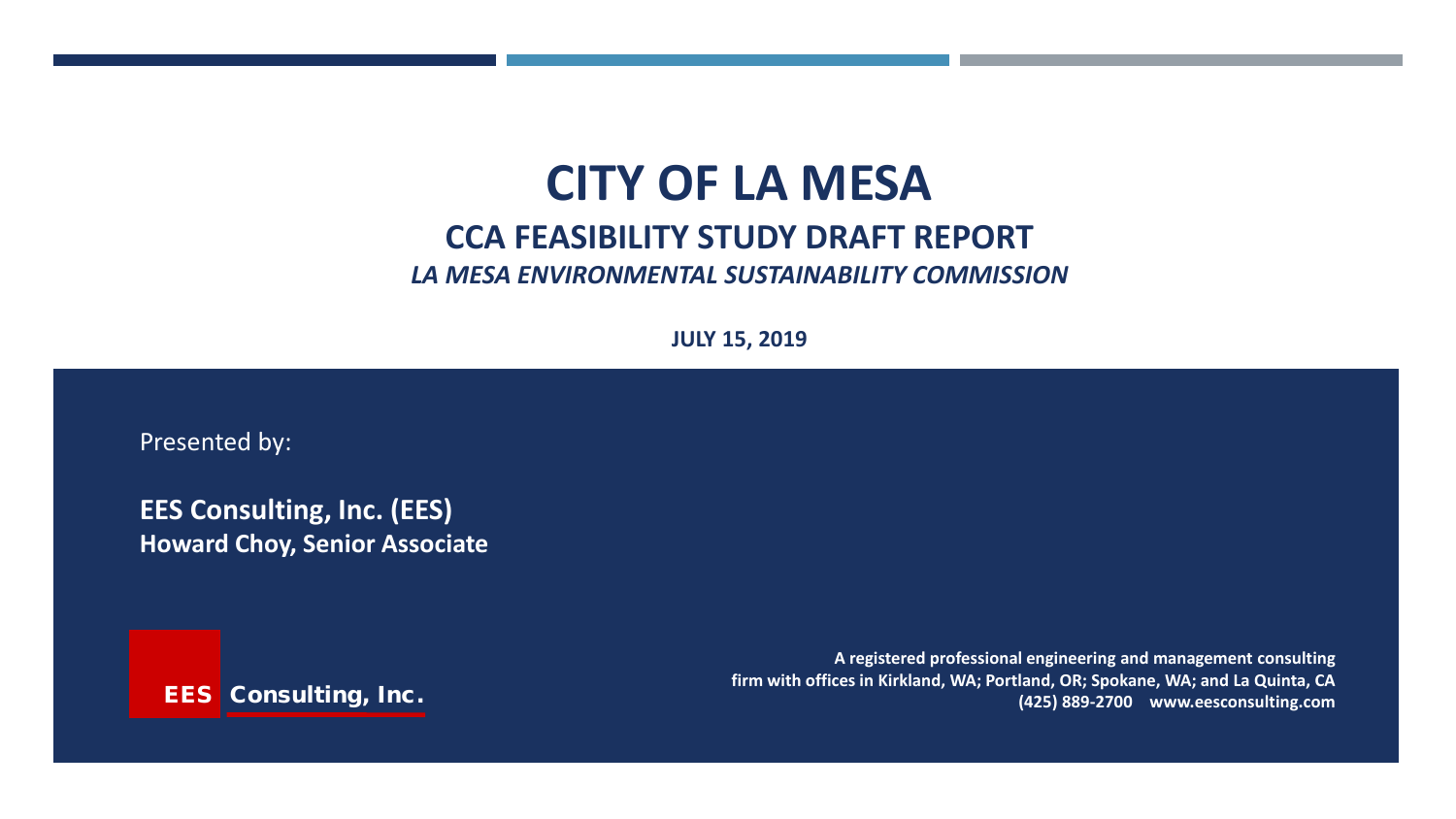# **CITY OF LA MESA CCA FEASIBILITY STUDY DRAFT REPORT** *LA MESA ENVIRONMENTAL SUSTAINABILITY COMMISSION*

**JULY 15, 2019**

Presented by:

**EES Consulting, Inc. (EES) Howard Choy, Senior Associate**

EES Consulting, Inc.

**A registered professional engineering and management consulting firm with offices in Kirkland, WA; Portland, OR; Spokane, WA; and La Quinta, CA (425) 889-2700 www.eesconsulting.com**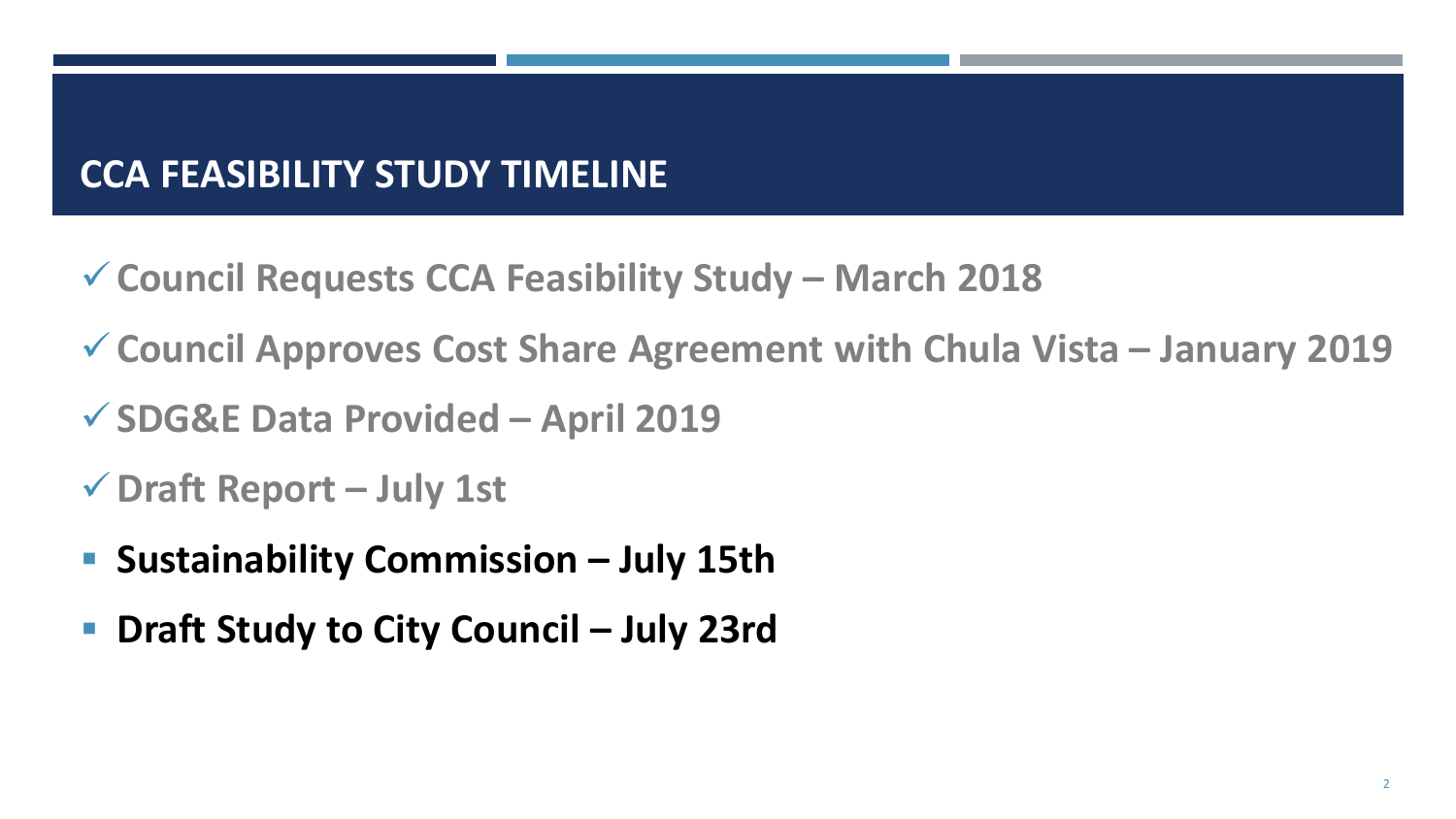# **CCA FEASIBILITY STUDY TIMELINE**

- **Council Requests CCA Feasibility Study – March 2018**
- **Council Approves Cost Share Agreement with Chula Vista – January 2019**
- **SDG&E Data Provided – April 2019**
- **Draft Report – July 1st**
- **Sustainability Commission – July 15th**
- **Draft Study to City Council – July 23rd**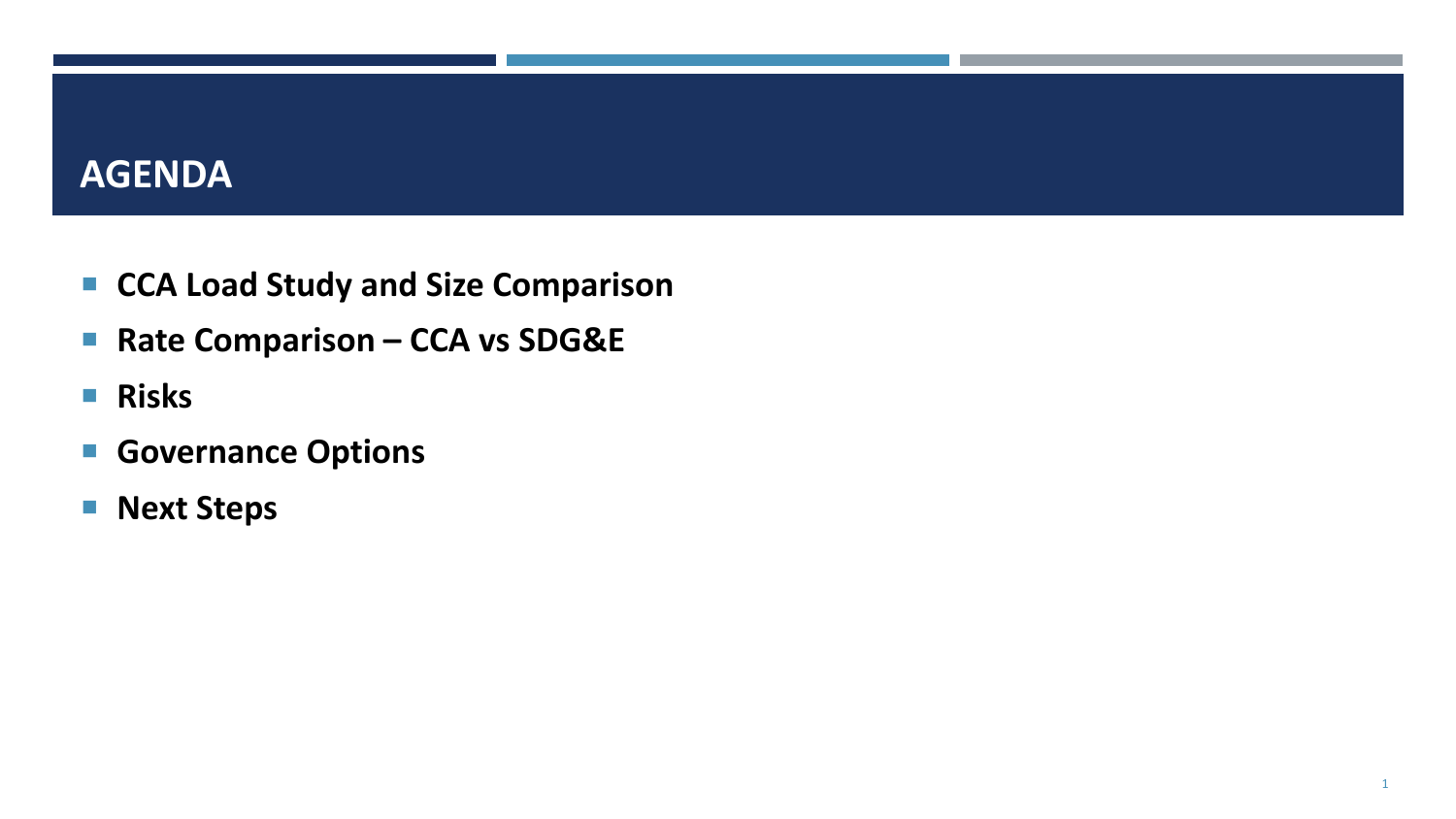#### **AGENDA**

- CCA Load Study and Size Comparison
- Rate Comparison **CCA vs SDG&E**
- **Risks**
- **Governance Options**
- **Next Steps**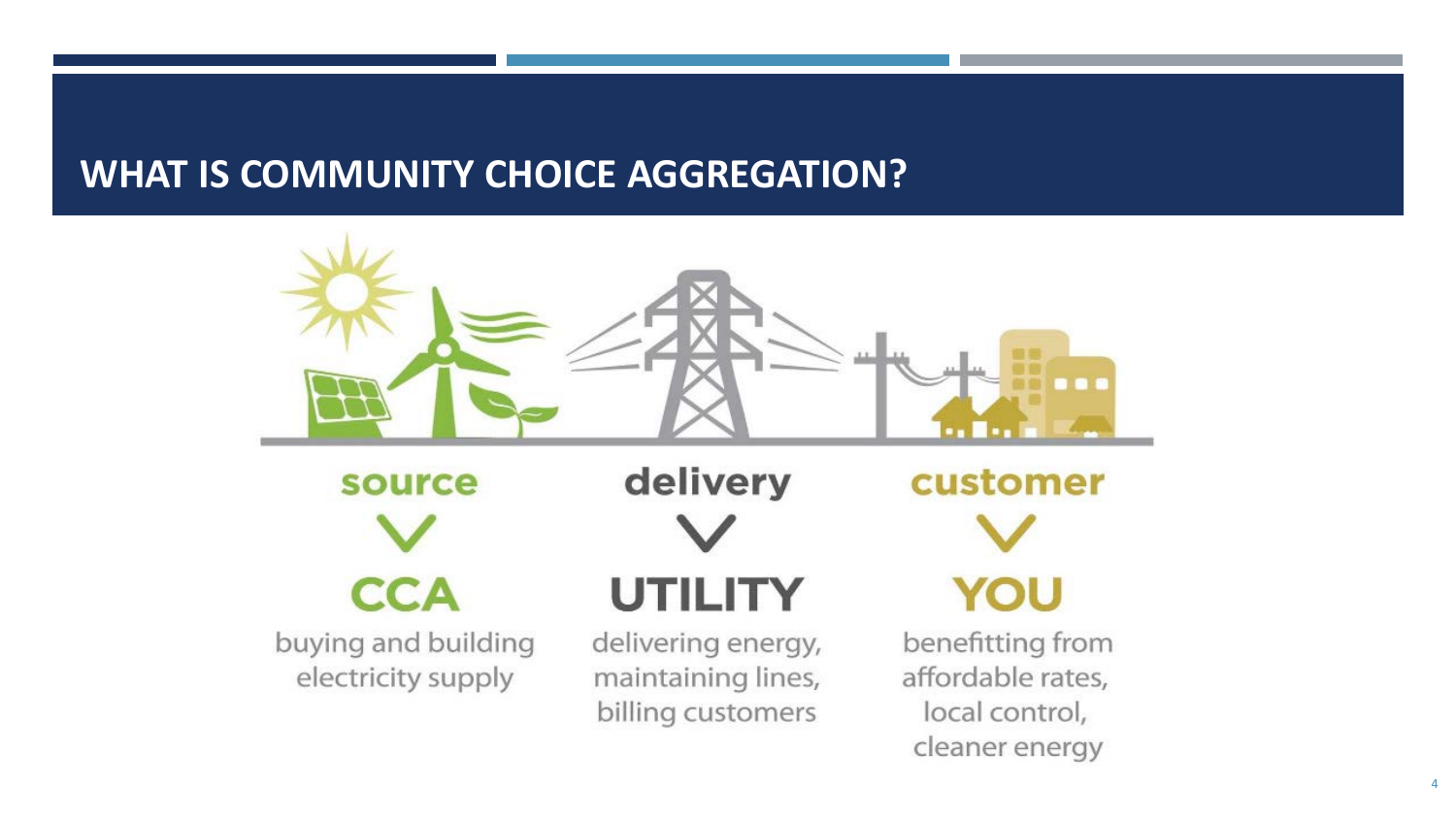# **WHAT IS COMMUNITY CHOICE AGGREGATION?**

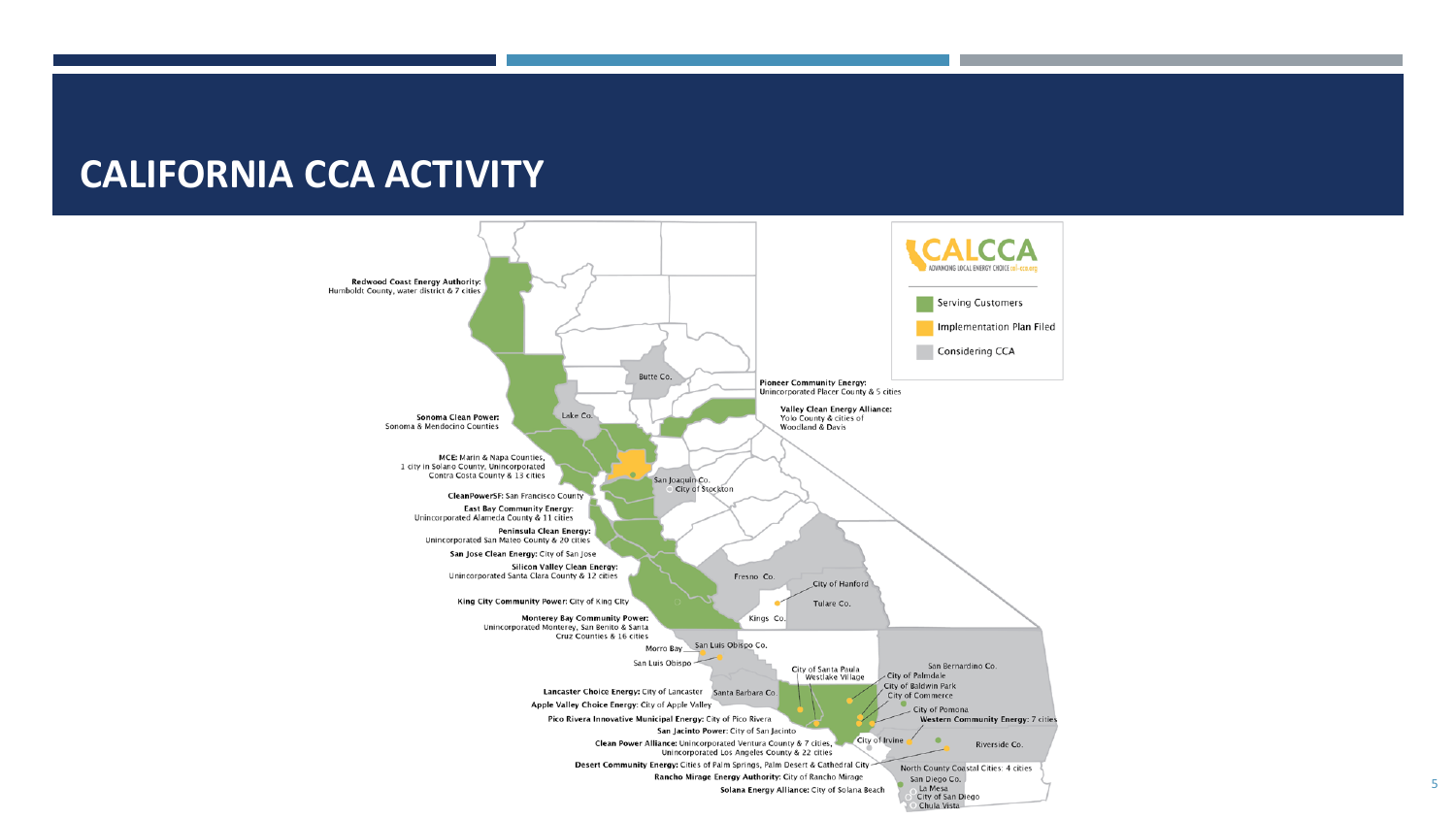#### **CALIFORNIA CCA ACTIVITY**

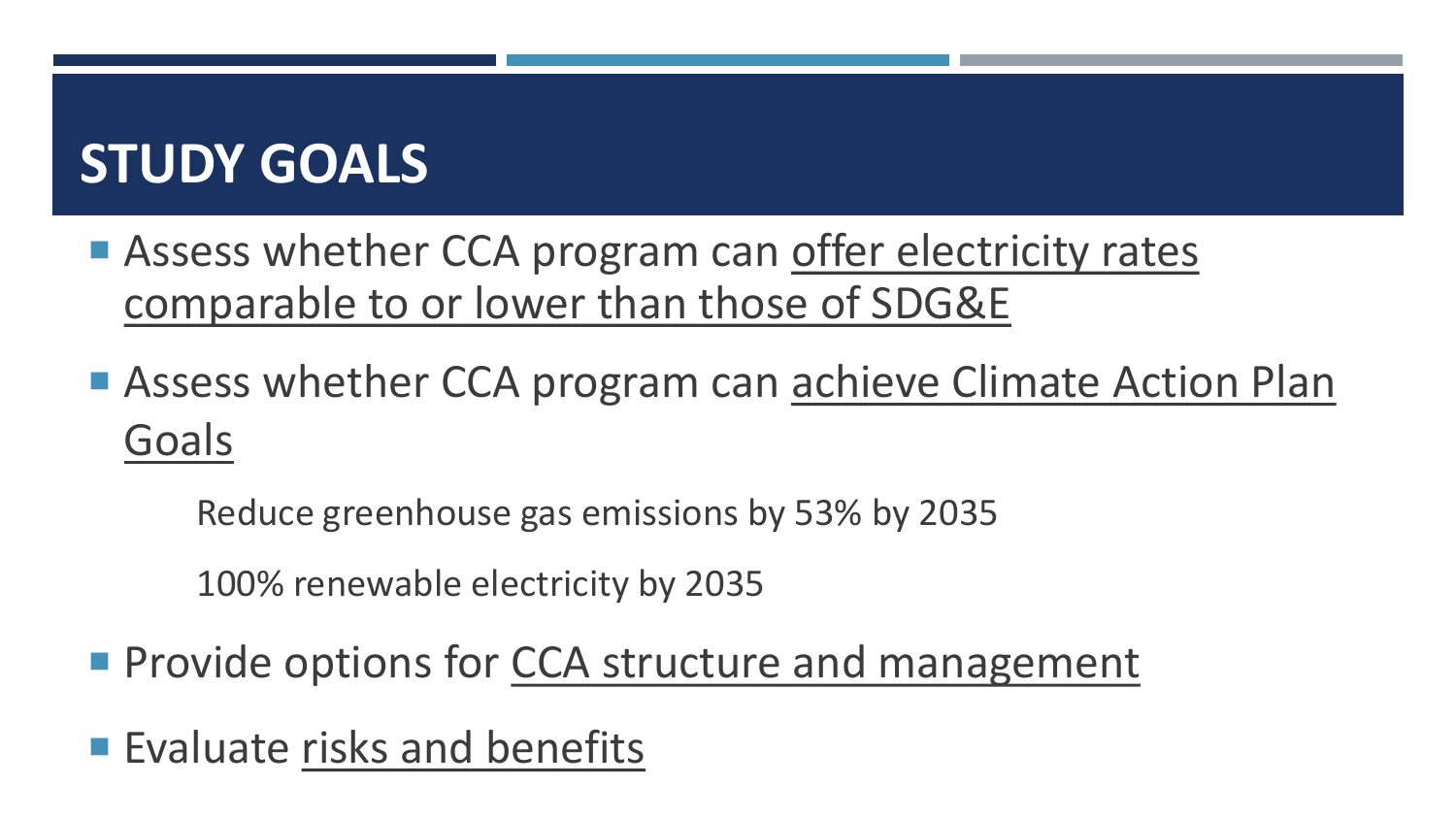# **STUDY GOALS**

- Assess whether CCA program can offer electricity rates comparable to or lower than those of SDG&E
- Assess whether CCA program can achieve Climate Action Plan Goals

Reduce greenhouse gas emissions by 53% by 2035

100% renewable electricity by 2035

- **Provide options for CCA structure and management**
- Evaluate risks and benefits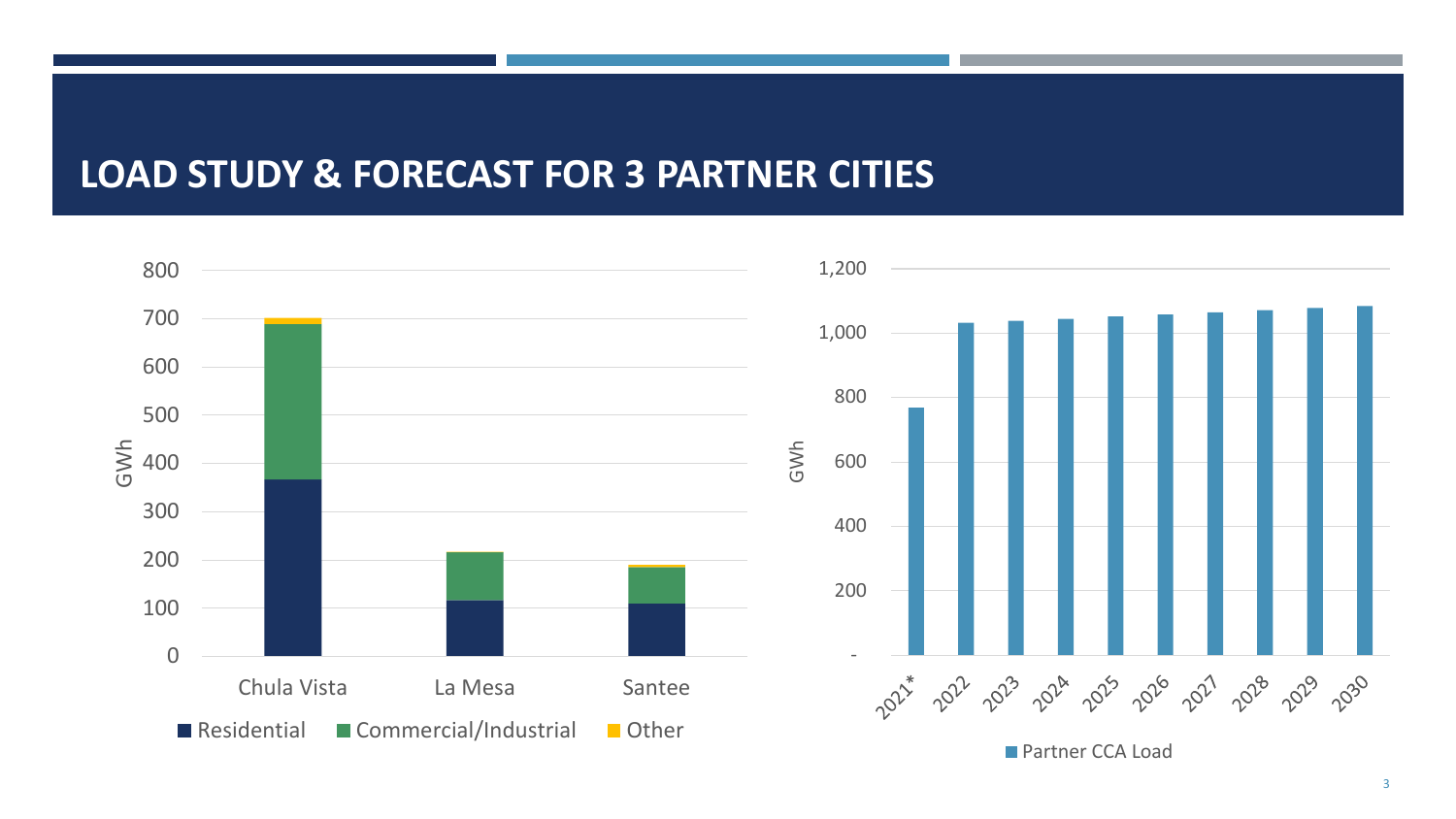### **LOAD STUDY & FORECAST FOR 3 PARTNER CITIES**



3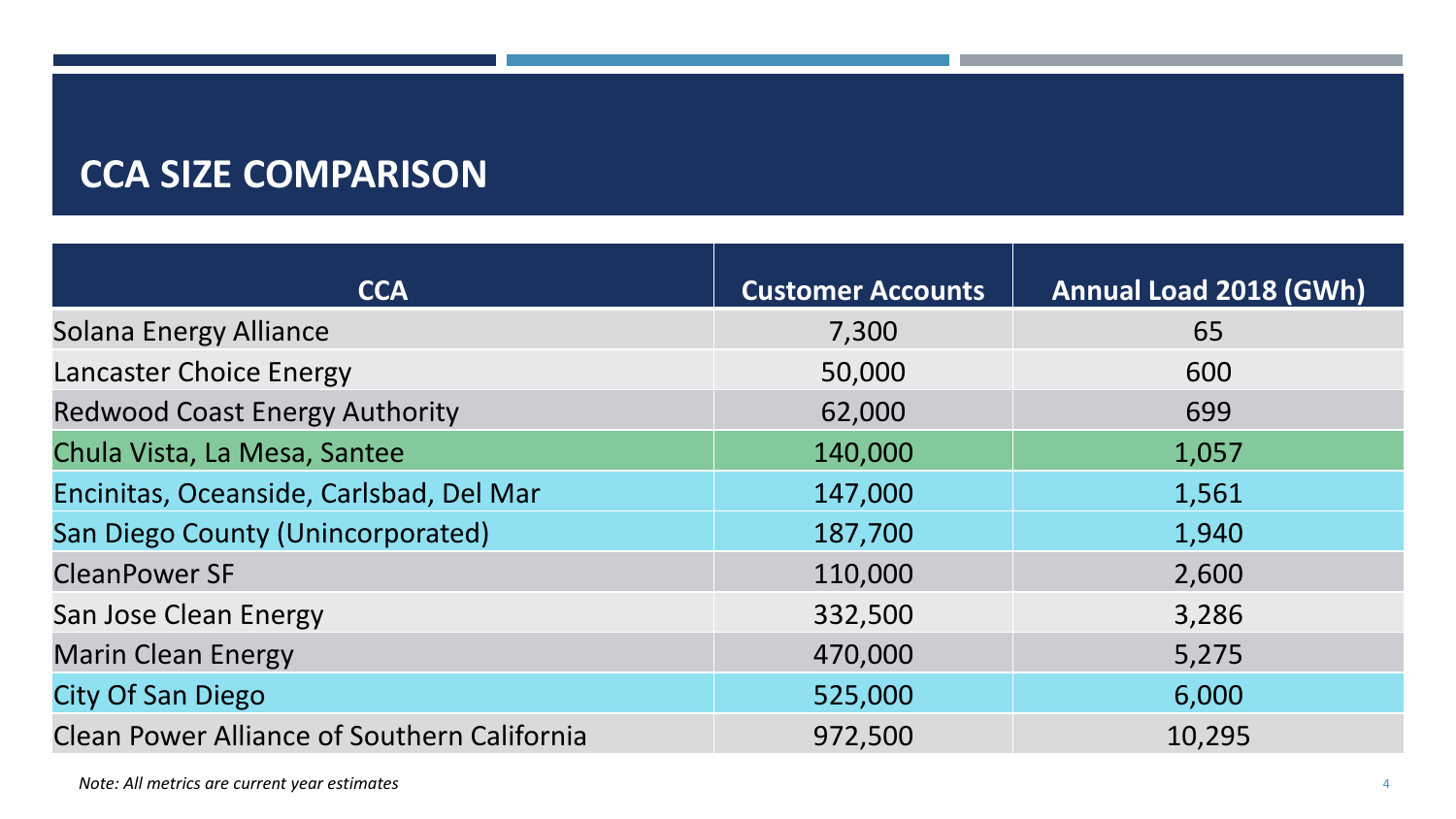# **CCA SIZE COMPARISON**

| <b>CCA</b>                                         | <b>Customer Accounts</b> | <b>Annual Load 2018 (GWh)</b> |
|----------------------------------------------------|--------------------------|-------------------------------|
| <b>Solana Energy Alliance</b>                      | 7,300                    | 65                            |
| Lancaster Choice Energy                            | 50,000                   | 600                           |
| <b>Redwood Coast Energy Authority</b>              | 62,000                   | 699                           |
| Chula Vista, La Mesa, Santee                       | 140,000                  | 1,057                         |
| Encinitas, Oceanside, Carlsbad, Del Mar            | 147,000                  | 1,561                         |
| <b>San Diego County (Unincorporated)</b>           | 187,700                  | 1,940                         |
| <b>CleanPower SF</b>                               | 110,000                  | 2,600                         |
| San Jose Clean Energy                              | 332,500                  | 3,286                         |
| <b>Marin Clean Energy</b>                          | 470,000                  | 5,275                         |
| <b>City Of San Diego</b>                           | 525,000                  | 6,000                         |
| <b>Clean Power Alliance of Southern California</b> | 972,500                  | 10,295                        |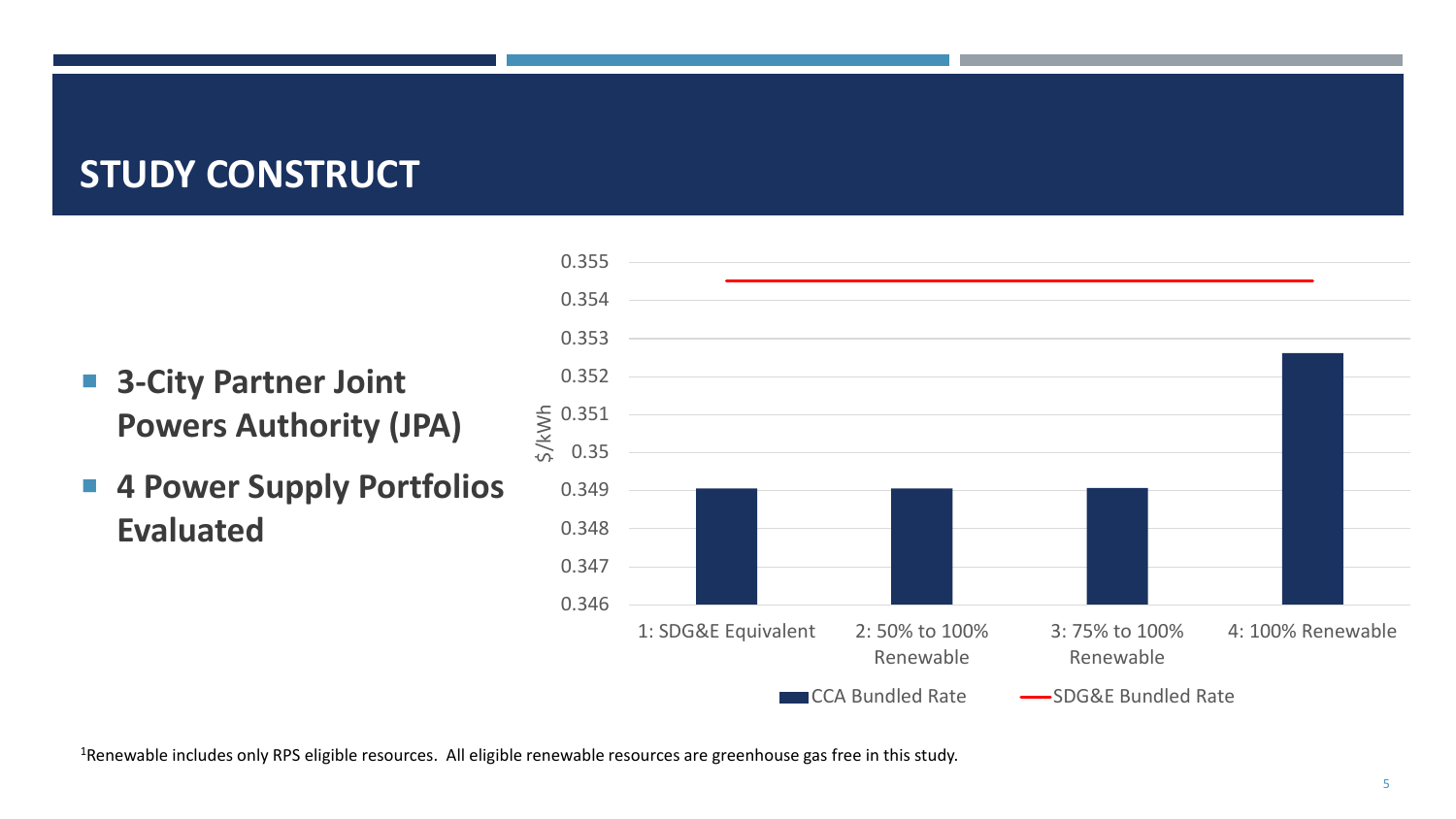## **STUDY CONSTRUCT**

- **3-City Partner Joint Powers Authority (JPA)**
- **4 Power Supply Portfolios Evaluated**



<sup>1</sup>Renewable includes only RPS eligible resources. All eligible renewable resources are greenhouse gas free in this study.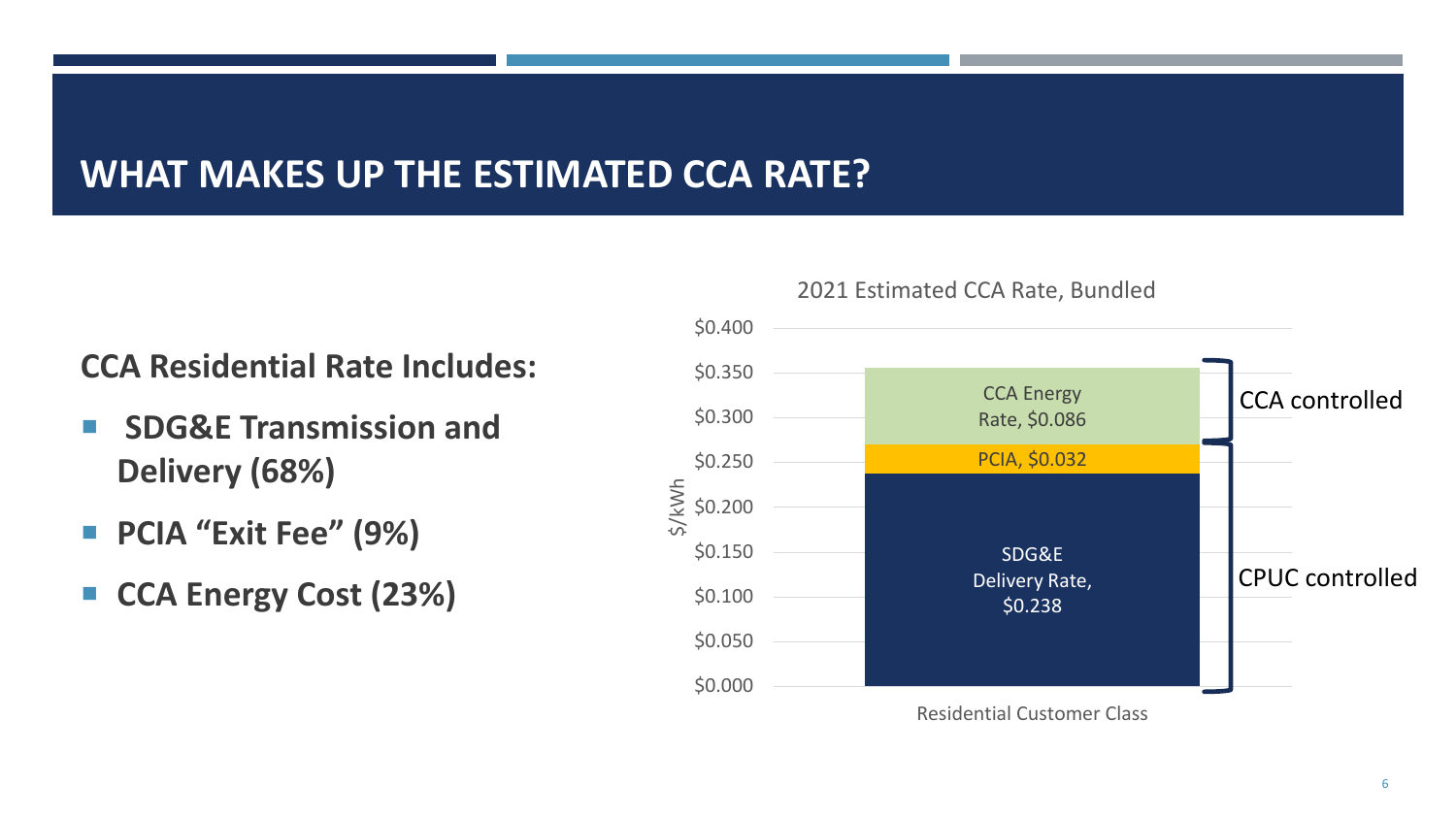## **WHAT MAKES UP THE ESTIMATED CCA RATE?**

#### **CCA Residential Rate Includes:**

- **SDG&E Transmission and Delivery (68%)**
- **PCIA "Exit Fee" (9%)**
- **CCA Energy Cost (23%)**



#### 2021 Estimated CCA Rate, Bundled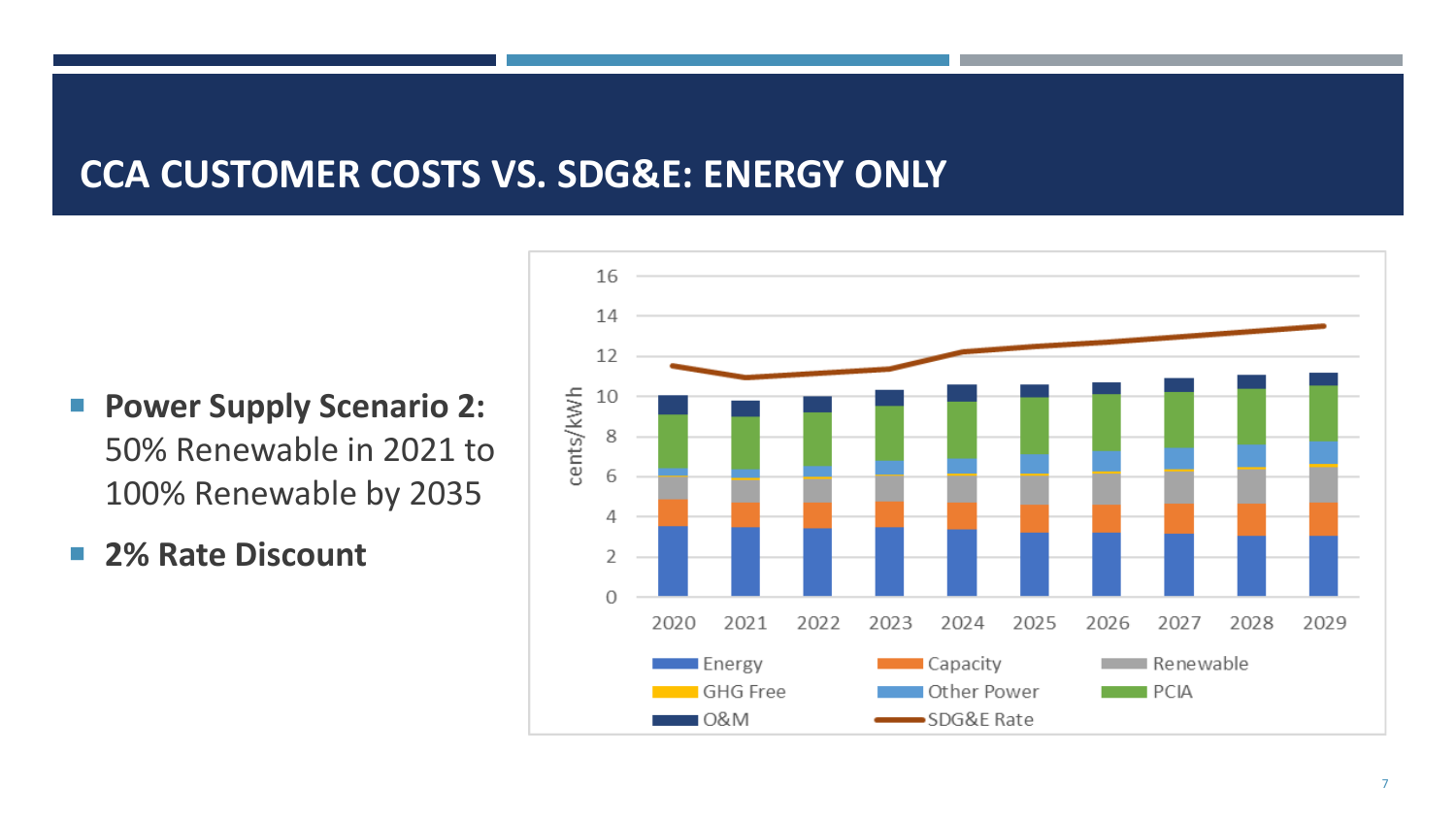## **CCA CUSTOMER COSTS VS. SDG&E: ENERGY ONLY**

- **Power Supply Scenario 2:** 50% Renewable in 2021 to 100% Renewable by 2035
- **2% Rate Discount**

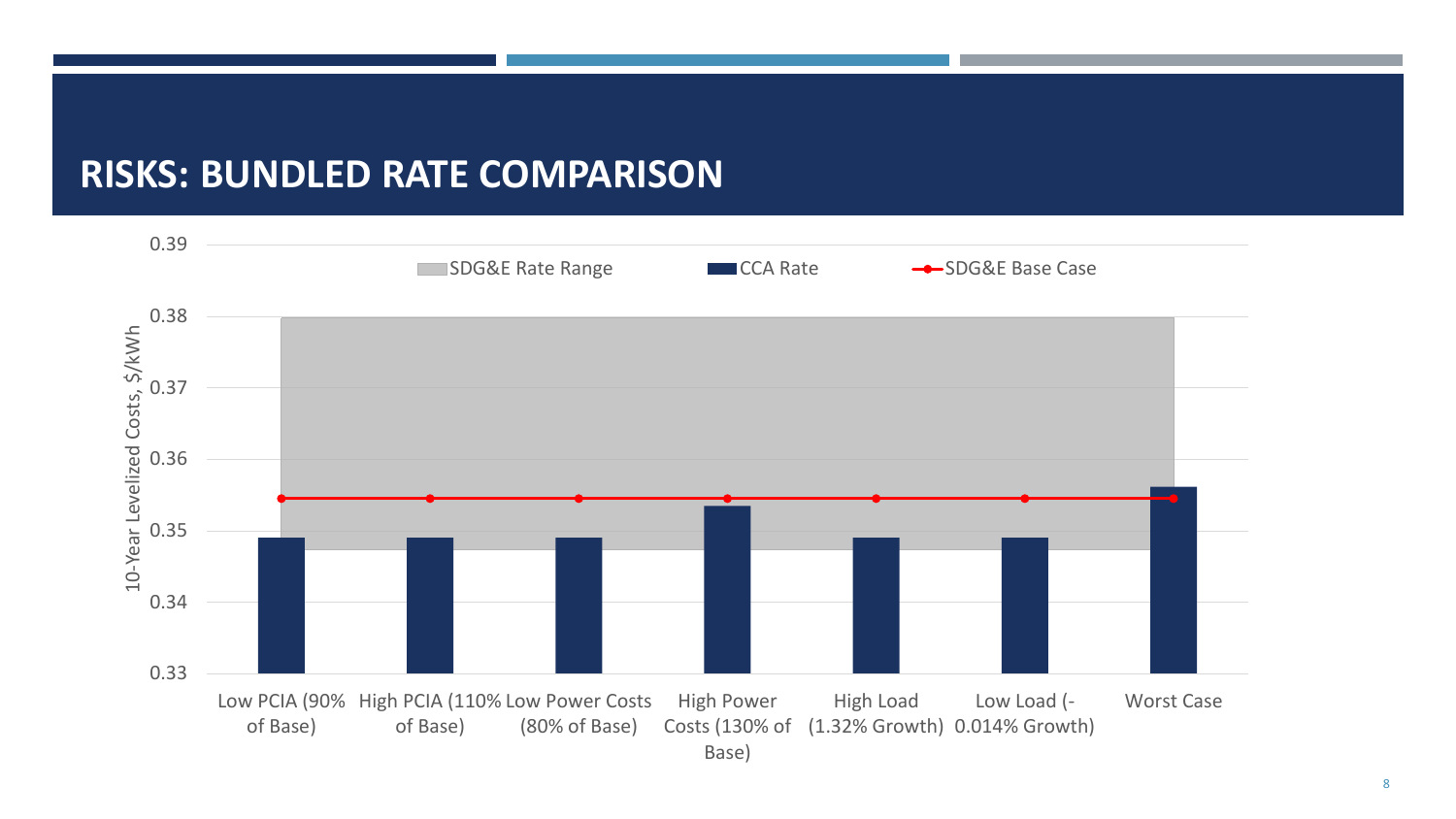#### **RISKS: BUNDLED RATE COMPARISON**

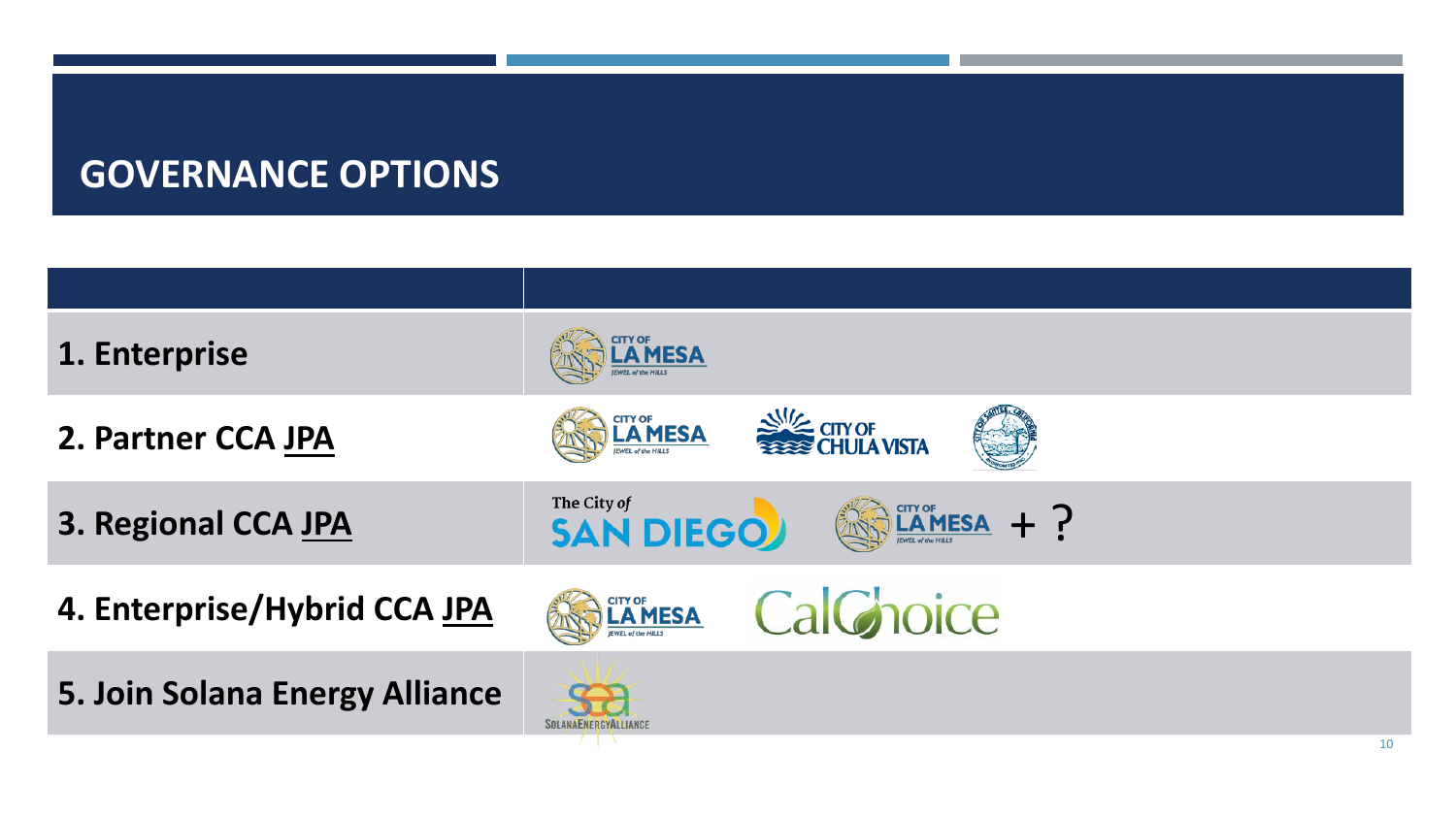| <b>MESA</b>                                                                                                                                                                                                                                                                                                                                                        |
|--------------------------------------------------------------------------------------------------------------------------------------------------------------------------------------------------------------------------------------------------------------------------------------------------------------------------------------------------------------------|
| <b>NE CITY OF</b><br>EXECHULA VISTA<br><b>CITY OF</b><br><b>LAMESA</b>                                                                                                                                                                                                                                                                                             |
| The City of <b>SAN DIEGO</b><br>$\mathbb{R}$ $\mathbb{R}$ $\mathbb{R}$ $\mathbb{R}$ $\mathbb{R}$ $\mathbb{R}$ $\mathbb{R}$ $\mathbb{R}$ $\mathbb{R}$ $\mathbb{R}$ $\mathbb{R}$ $\mathbb{R}$ $\mathbb{R}$ $\mathbb{R}$ $\mathbb{R}$ $\mathbb{R}$ $\mathbb{R}$ $\mathbb{R}$ $\mathbb{R}$ $\mathbb{R}$ $\mathbb{R}$ $\mathbb{R}$ $\mathbb{R}$ $\mathbb{R}$ $\mathbb{$ |
| CalGhoice<br><b>ELAMESA</b>                                                                                                                                                                                                                                                                                                                                        |
| <b>SOLANAENERGYALLIANCE</b><br>10                                                                                                                                                                                                                                                                                                                                  |
|                                                                                                                                                                                                                                                                                                                                                                    |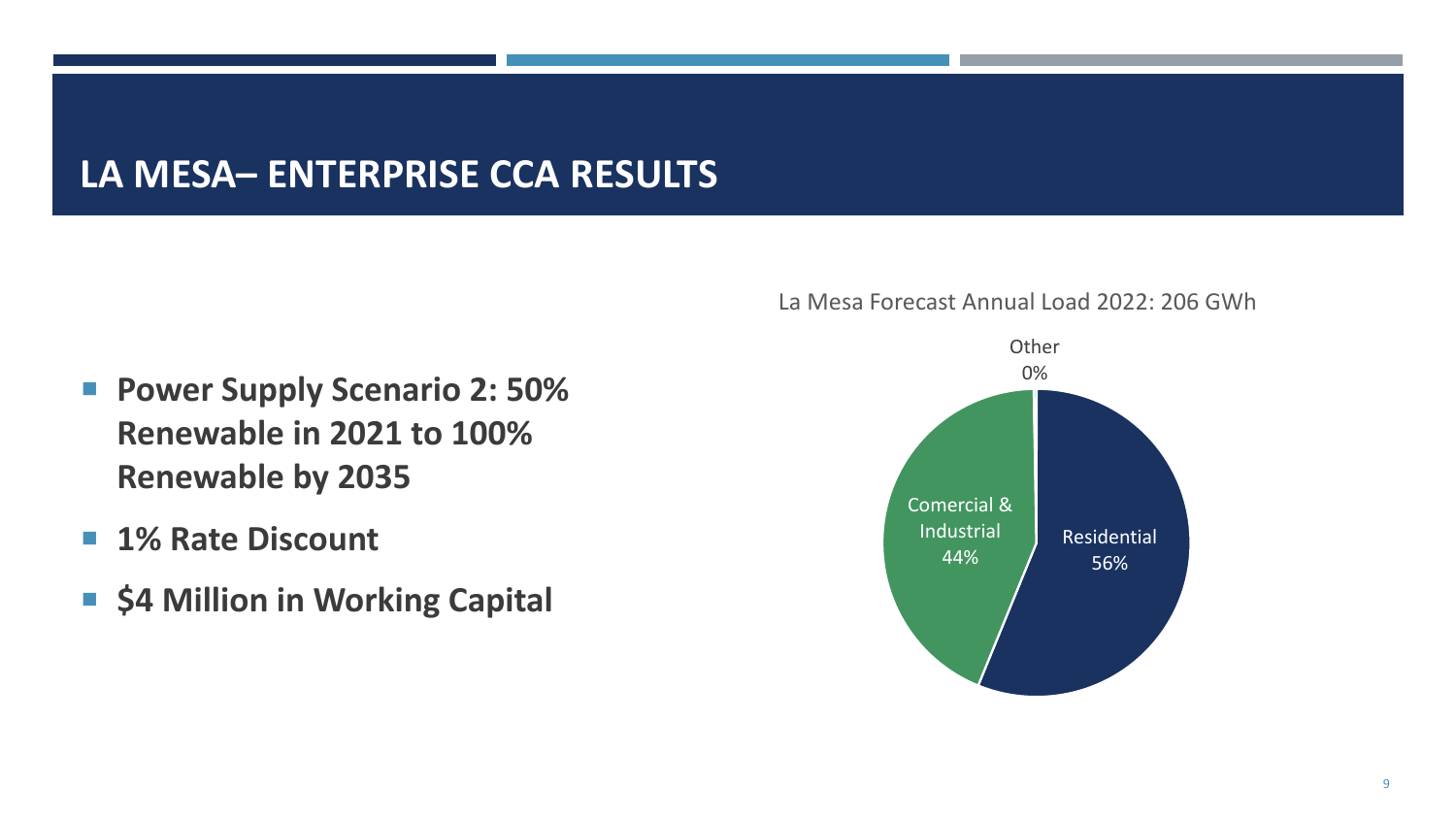# **LA MESA– ENTERPRISE CCA RESULTS**

- **Power Supply Scenario 2: 50% Renewable in 2021 to 100% Renewable by 2035**
- 1% Rate Discount
- $\blacksquare$  **\$4 Million in Working Capital**



#### La Mesa Forecast Annual Load 2022: 206 GWh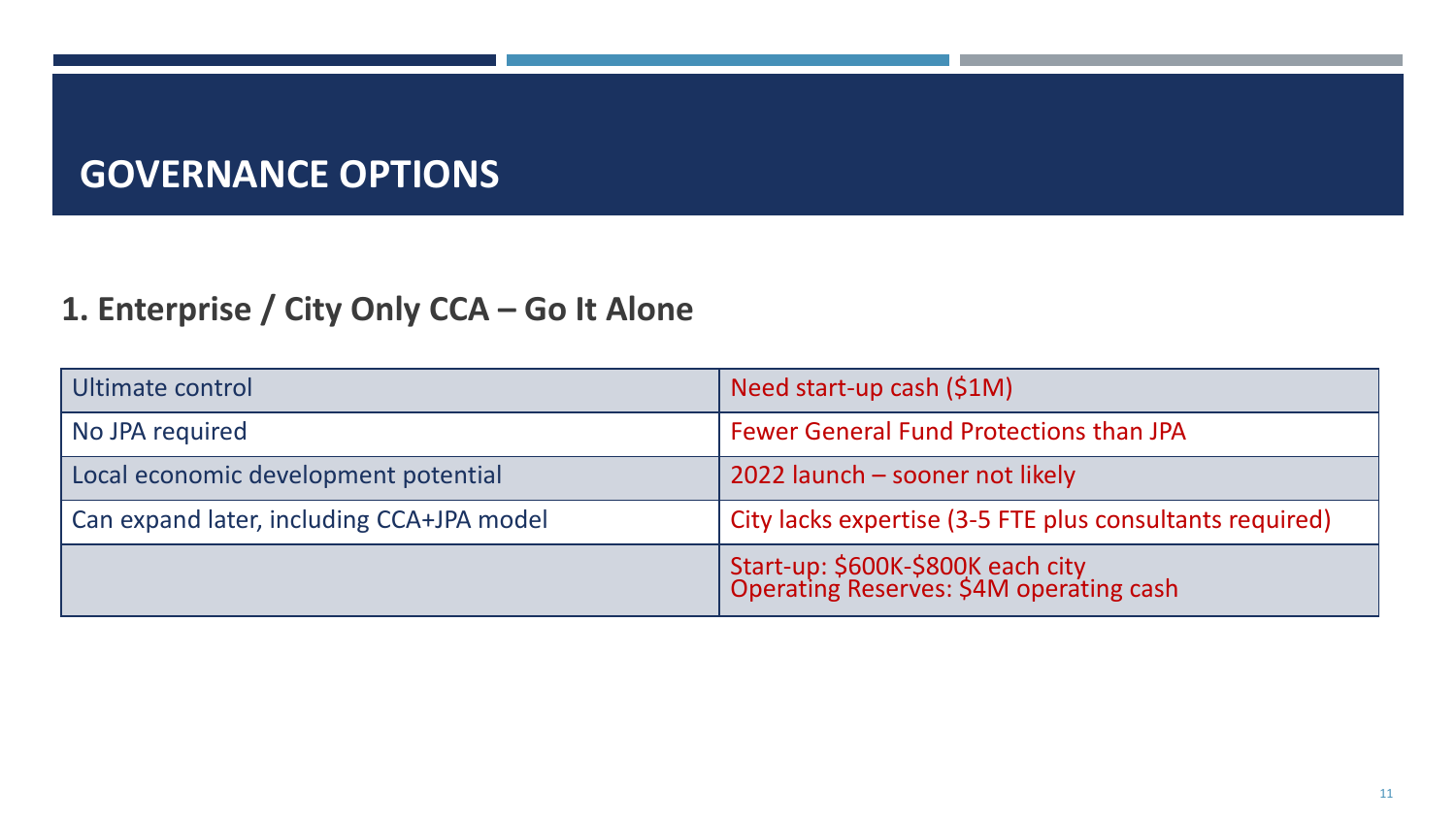#### **1. Enterprise / City Only CCA – Go It Alone**

| Ultimate control                          | Need start-up cash $(S1M)$                                                   |
|-------------------------------------------|------------------------------------------------------------------------------|
| No JPA required                           | Fewer General Fund Protections than JPA                                      |
| Local economic development potential      | 2022 launch - sooner not likely                                              |
| Can expand later, including CCA+JPA model | City lacks expertise (3-5 FTE plus consultants required)                     |
|                                           | Start-up: \$600K-\$800K each city<br>Operating Reserves: \$4M operating cash |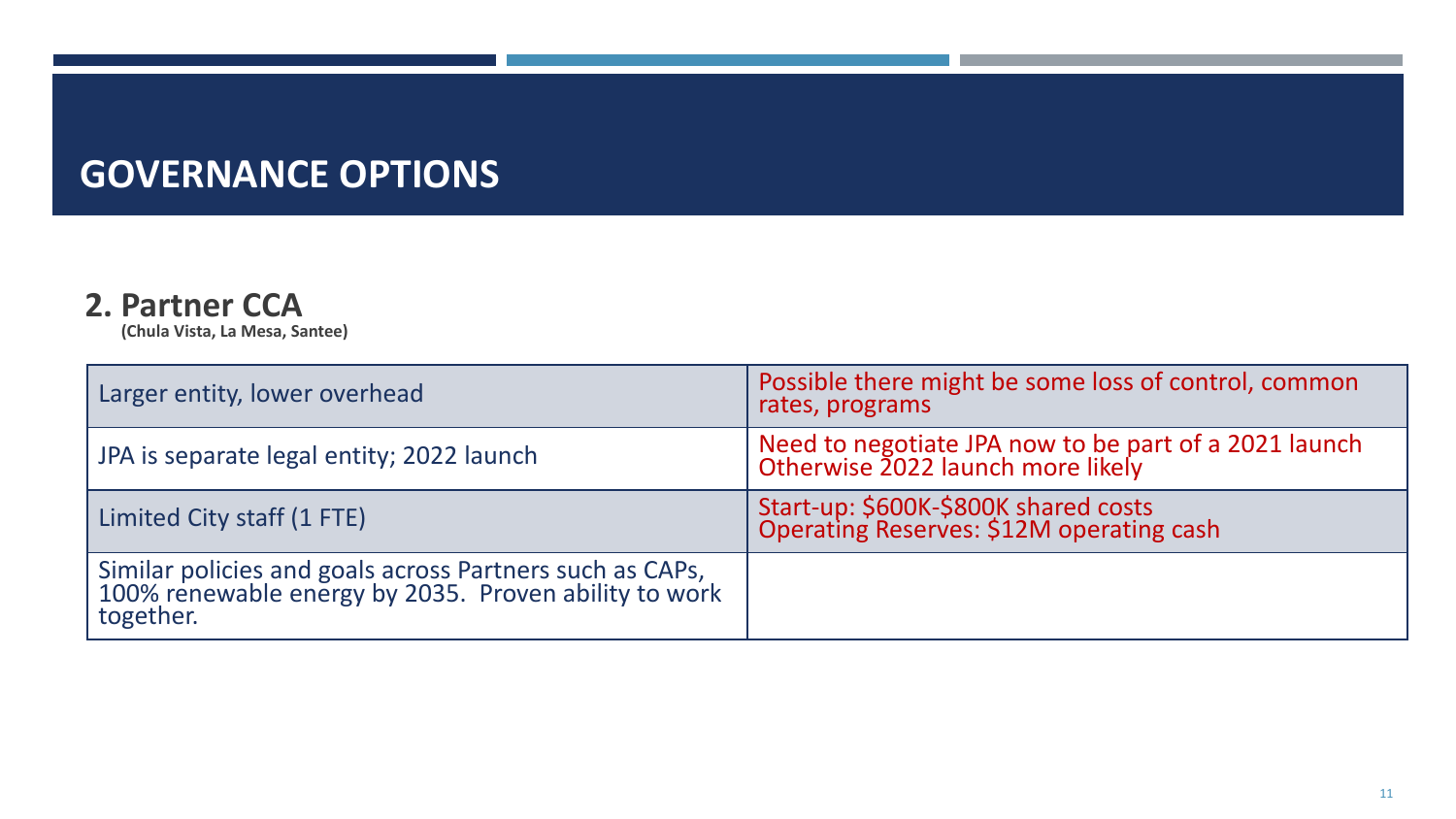#### **2. Partner CCA**

**(Chula Vista, La Mesa, Santee)**

| Larger entity, lower overhead                                                                                                  | Possible there might be some loss of control, common<br>rates, programs                    |
|--------------------------------------------------------------------------------------------------------------------------------|--------------------------------------------------------------------------------------------|
| JPA is separate legal entity; 2022 launch                                                                                      | Need to negotiate JPA now to be part of a 2021 launch<br>Otherwise 2022 launch more likely |
| Limited City staff (1 FTE)                                                                                                     | Start-up: \$600K-\$800K shared costs<br>Operating Reserves: \$12M operating cash           |
| Similar policies and goals across Partners such as CAPs,<br>100% renewable energy by 2035. Proven ability to work<br>together. |                                                                                            |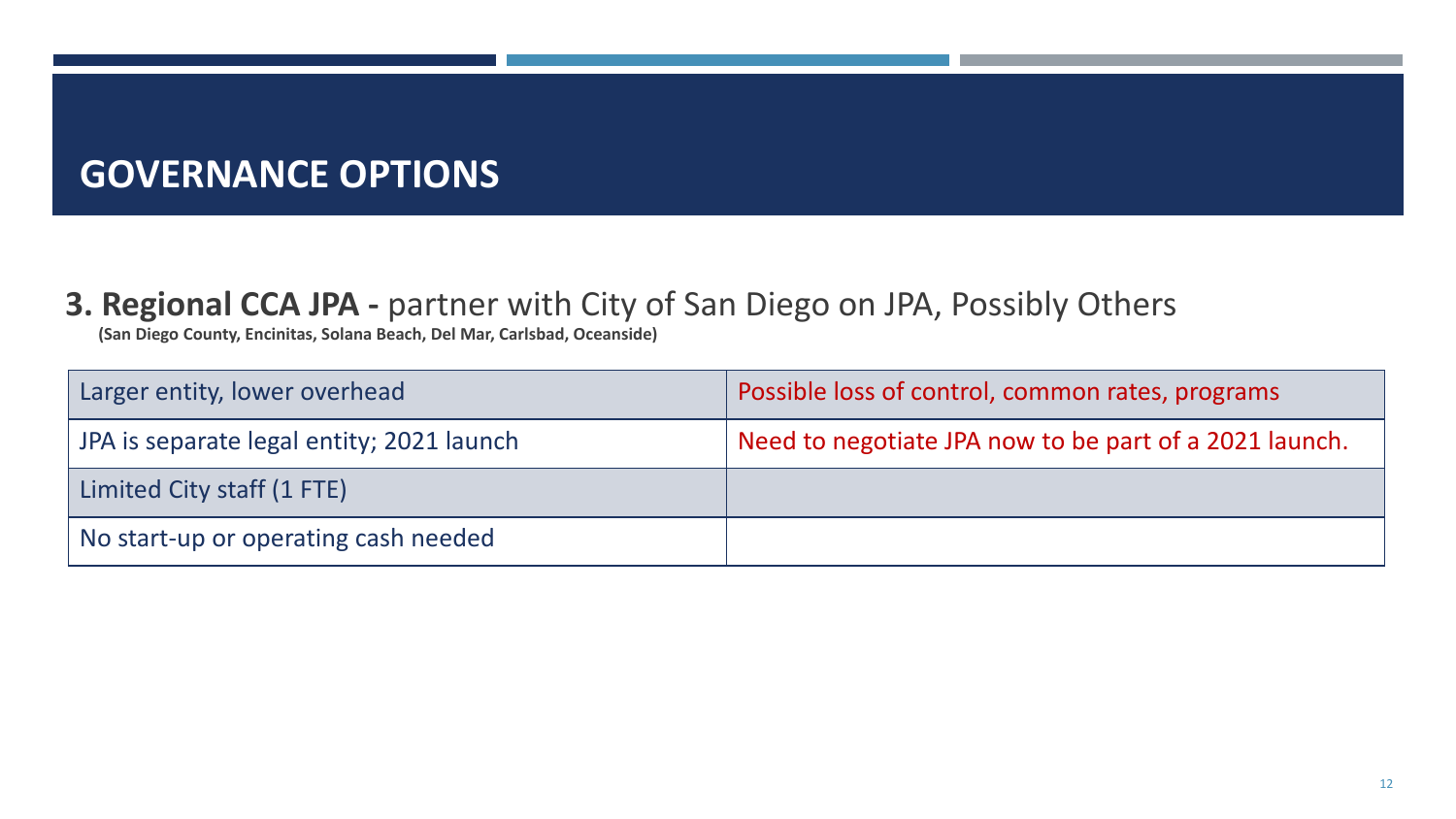#### **3. Regional CCA JPA -** partner with City of San Diego on JPA, Possibly Others

**(San Diego County, Encinitas, Solana Beach, Del Mar, Carlsbad, Oceanside)**

| Larger entity, lower overhead             | Possible loss of control, common rates, programs       |
|-------------------------------------------|--------------------------------------------------------|
| JPA is separate legal entity; 2021 launch | Need to negotiate JPA now to be part of a 2021 launch. |
| Limited City staff (1 FTE)                |                                                        |
| No start-up or operating cash needed      |                                                        |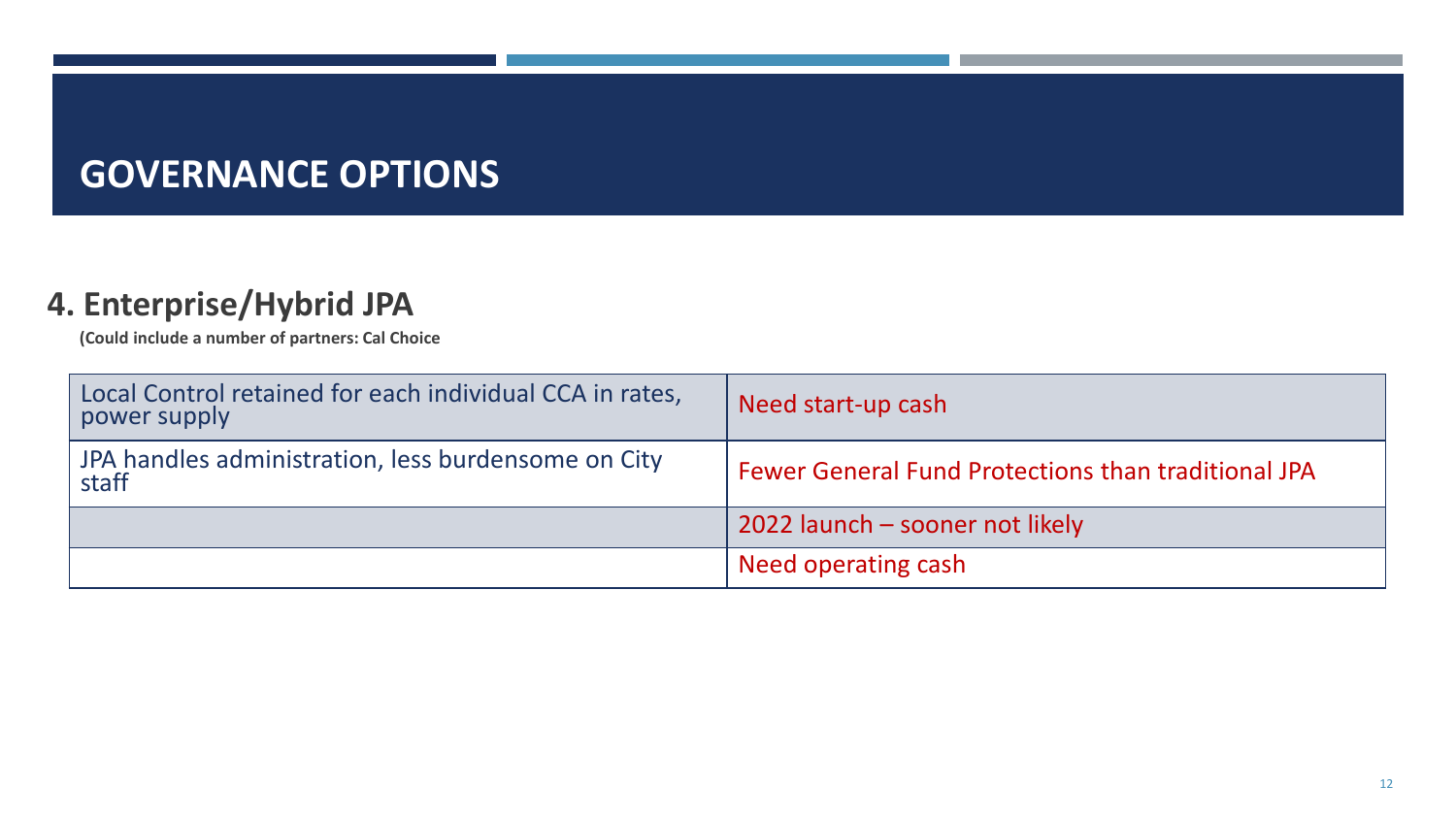#### **4. Enterprise/Hybrid JPA**

**(Could include a number of partners: Cal Choice**

| Local Control retained for each individual CCA in rates,<br>power supply | Need start-up cash                                         |
|--------------------------------------------------------------------------|------------------------------------------------------------|
| JPA handles administration, less burdensome on City<br>staff             | <b>Fewer General Fund Protections than traditional JPA</b> |
|                                                                          | 2022 launch - sooner not likely                            |
|                                                                          | Need operating cash                                        |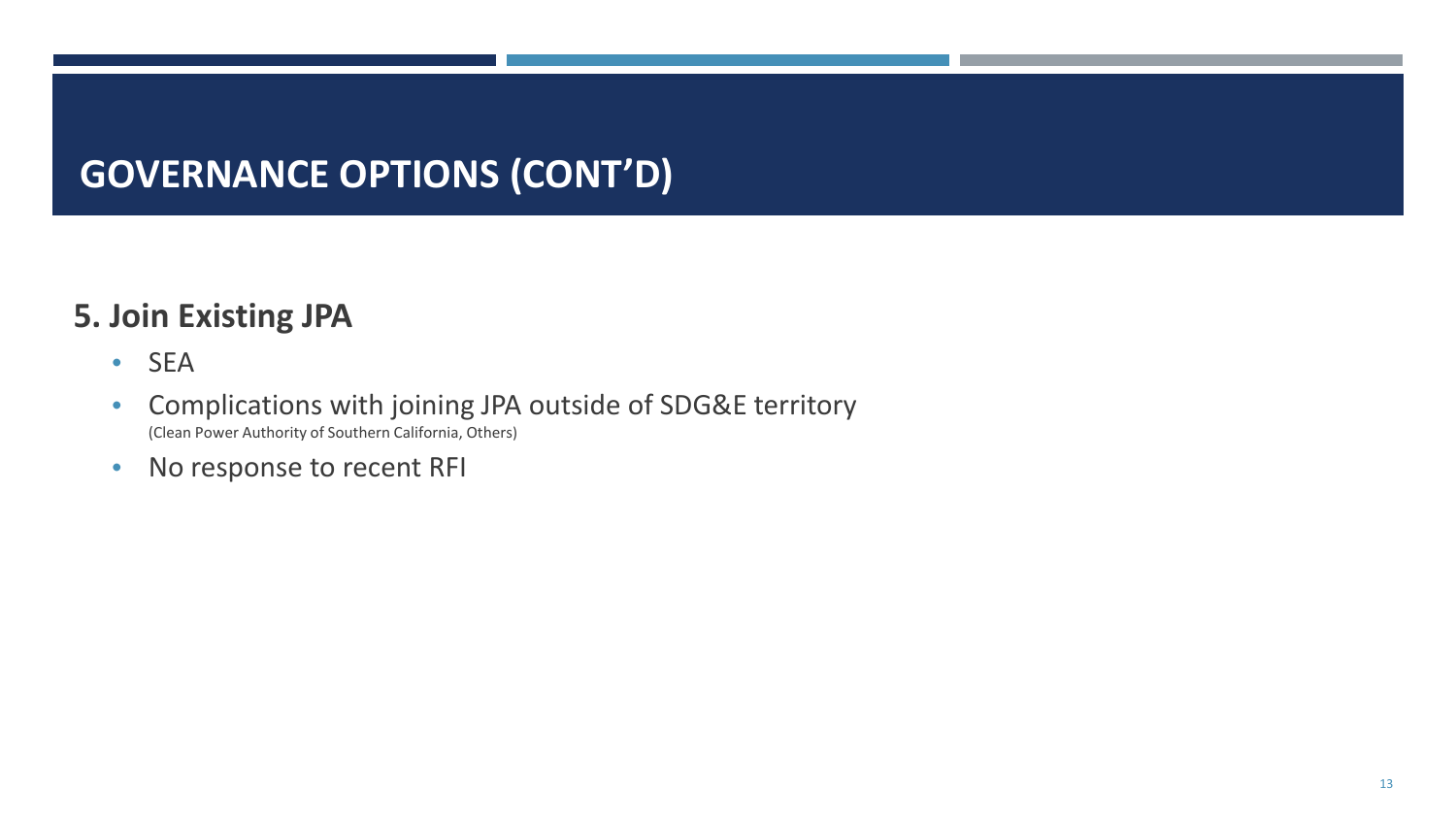# **GOVERNANCE OPTIONS (CONT'D)**

#### **5. Join Existing JPA**

- SEA
- Complications with joining JPA outside of SDG&E territory (Clean Power Authority of Southern California, Others)
- No response to recent RFI